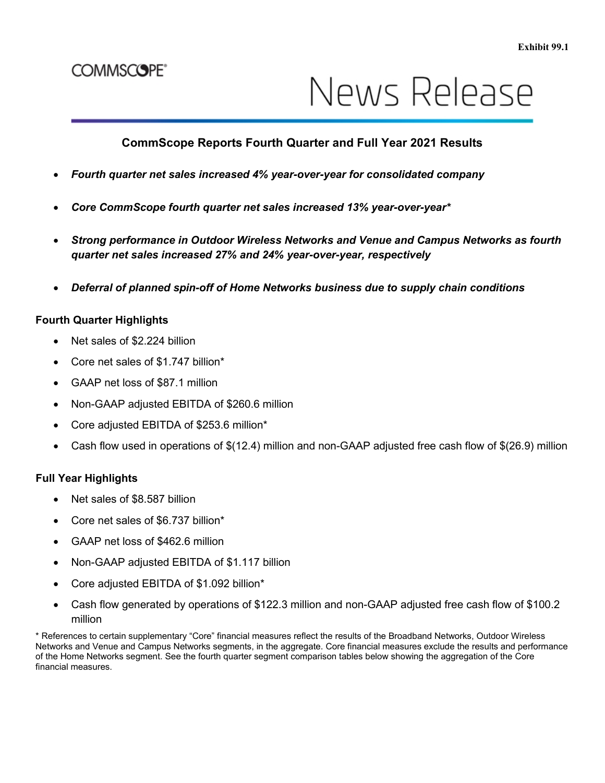# **COMMSCOPE®**

# News Release

## **CommScope Reports Fourth Quarter and Full Year 2021 Results**

- *Fourth quarter net sales increased 4% year-over-year for consolidated company*
- *Core CommScope fourth quarter net sales increased 13% year-over-year\**
- *Strong performance in Outdoor Wireless Networks and Venue and Campus Networks as fourth quarter net sales increased 27% and 24% year-over-year, respectively*
- *Deferral of planned spin-off of Home Networks business due to supply chain conditions*

#### **Fourth Quarter Highlights**

- Net sales of \$2.224 billion
- Core net sales of \$1.747 billion\*
- GAAP net loss of \$87.1 million
- Non-GAAP adjusted EBITDA of \$260.6 million
- Core adjusted EBITDA of \$253.6 million\*
- Cash flow used in operations of \$(12.4) million and non-GAAP adjusted free cash flow of \$(26.9) million

#### **Full Year Highlights**

- Net sales of \$8.587 billion
- Core net sales of \$6.737 billion\*
- GAAP net loss of \$462.6 million
- Non-GAAP adjusted EBITDA of \$1.117 billion
- Core adjusted EBITDA of \$1.092 billion\*
- Cash flow generated by operations of \$122.3 million and non-GAAP adjusted free cash flow of \$100.2 million

\* References to certain supplementary "Core" financial measures reflect the results of the Broadband Networks, Outdoor Wireless Networks and Venue and Campus Networks segments, in the aggregate. Core financial measures exclude the results and performance of the Home Networks segment. See the fourth quarter segment comparison tables below showing the aggregation of the Core financial measures.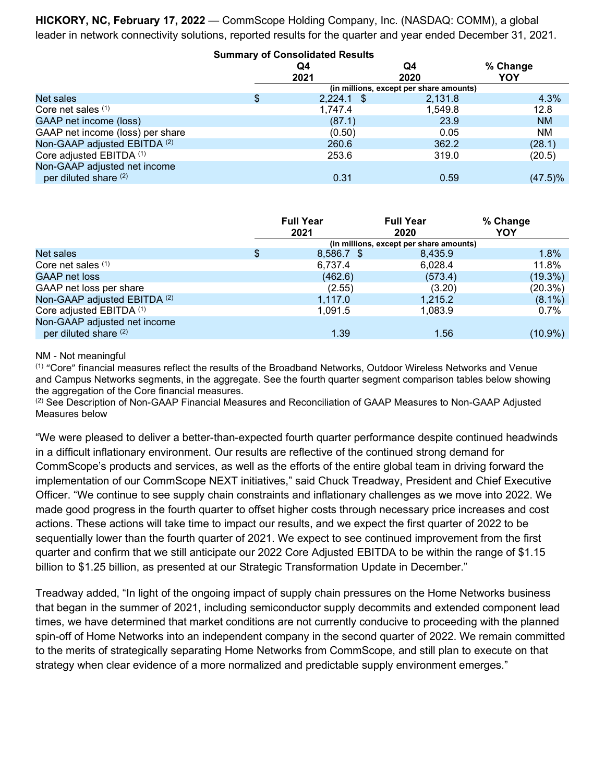**HICKORY, NC, February 17, 2022** — CommScope Holding Company, Inc. (NASDAQ: COMM), a global leader in network connectivity solutions, reported results for the quarter and year ended December 31, 2021.

|                                  | <b>Summary of Consolidated Results</b>  |              |            |                 |  |  |  |  |  |
|----------------------------------|-----------------------------------------|--------------|------------|-----------------|--|--|--|--|--|
|                                  | Q4<br>2021                              |              | Q4<br>2020 | % Change<br>YOY |  |  |  |  |  |
|                                  | (in millions, except per share amounts) |              |            |                 |  |  |  |  |  |
| Net sales                        |                                         | $2,224.1$ \$ | 2,131.8    | 4.3%            |  |  |  |  |  |
| Core net sales $(1)$             |                                         | 1,747.4      | 1,549.8    | 12.8            |  |  |  |  |  |
| GAAP net income (loss)           |                                         | (87.1)       | 23.9       | <b>NM</b>       |  |  |  |  |  |
| GAAP net income (loss) per share |                                         | (0.50)       | 0.05       | NM              |  |  |  |  |  |
| Non-GAAP adjusted EBITDA (2)     |                                         | 260.6        | 362.2      | (28.1)          |  |  |  |  |  |
| Core adjusted EBITDA (1)         |                                         | 253.6        | 319.0      | (20.5)          |  |  |  |  |  |
| Non-GAAP adjusted net income     |                                         |              |            |                 |  |  |  |  |  |
| per diluted share (2)            |                                         | 0.31         | 0.59       | (47.5)%         |  |  |  |  |  |

|                                                       |                                         | <b>Full Year</b><br>2021 | <b>Full Year</b><br>2020 | % Change<br>YOY |  |  |  |  |  |
|-------------------------------------------------------|-----------------------------------------|--------------------------|--------------------------|-----------------|--|--|--|--|--|
|                                                       | (in millions, except per share amounts) |                          |                          |                 |  |  |  |  |  |
| Net sales                                             | \$                                      | $8,586.7$ \$             | 8,435.9                  | 1.8%            |  |  |  |  |  |
| Core net sales $(1)$                                  |                                         | 6,737.4                  | 6,028.4                  | 11.8%           |  |  |  |  |  |
| <b>GAAP net loss</b>                                  |                                         | (462.6)                  | (573.4)                  | (19.3%)         |  |  |  |  |  |
| GAAP net loss per share                               |                                         | (2.55)                   | (3.20)                   | (20.3%)         |  |  |  |  |  |
| Non-GAAP adjusted EBITDA (2)                          |                                         | 1,117.0                  | 1,215.2                  | $(8.1\%)$       |  |  |  |  |  |
| Core adjusted EBITDA (1)                              |                                         | 1,091.5                  | 1,083.9                  | 0.7%            |  |  |  |  |  |
| Non-GAAP adjusted net income<br>per diluted share (2) |                                         | 1.39                     | 1.56                     | $(10.9\%)$      |  |  |  |  |  |

#### NM - Not meaningful

(1) "Core" financial measures reflect the results of the Broadband Networks, Outdoor Wireless Networks and Venue and Campus Networks segments, in the aggregate. See the fourth quarter segment comparison tables below showing the aggregation of the Core financial measures.

(2) See Description of Non-GAAP Financial Measures and Reconciliation of GAAP Measures to Non-GAAP Adjusted Measures below

"We were pleased to deliver a better-than-expected fourth quarter performance despite continued headwinds in a difficult inflationary environment. Our results are reflective of the continued strong demand for CommScope's products and services, as well as the efforts of the entire global team in driving forward the implementation of our CommScope NEXT initiatives," said Chuck Treadway, President and Chief Executive Officer. "We continue to see supply chain constraints and inflationary challenges as we move into 2022. We made good progress in the fourth quarter to offset higher costs through necessary price increases and cost actions. These actions will take time to impact our results, and we expect the first quarter of 2022 to be sequentially lower than the fourth quarter of 2021. We expect to see continued improvement from the first quarter and confirm that we still anticipate our 2022 Core Adjusted EBITDA to be within the range of \$1.15 billion to \$1.25 billion, as presented at our Strategic Transformation Update in December."

Treadway added, "In light of the ongoing impact of supply chain pressures on the Home Networks business that began in the summer of 2021, including semiconductor supply decommits and extended component lead times, we have determined that market conditions are not currently conducive to proceeding with the planned spin-off of Home Networks into an independent company in the second quarter of 2022. We remain committed to the merits of strategically separating Home Networks from CommScope, and still plan to execute on that strategy when clear evidence of a more normalized and predictable supply environment emerges."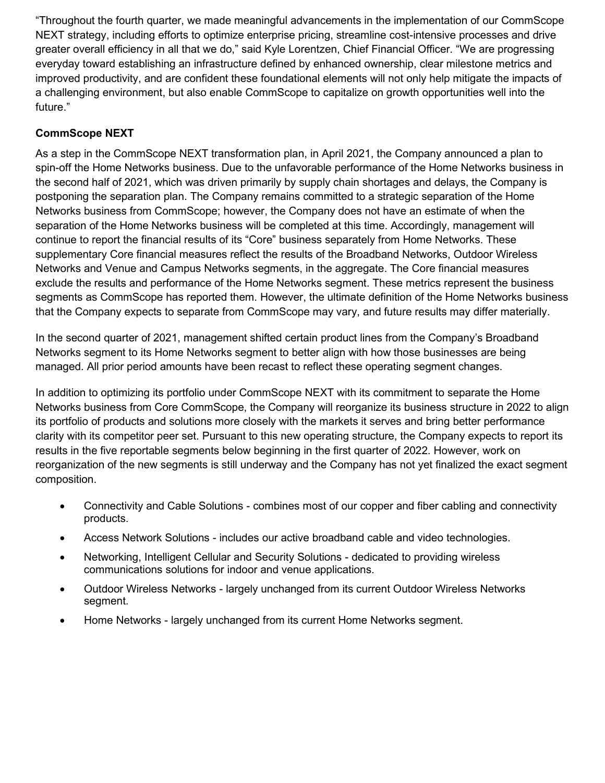"Throughout the fourth quarter, we made meaningful advancements in the implementation of our CommScope NEXT strategy, including efforts to optimize enterprise pricing, streamline cost-intensive processes and drive greater overall efficiency in all that we do," said Kyle Lorentzen, Chief Financial Officer. "We are progressing everyday toward establishing an infrastructure defined by enhanced ownership, clear milestone metrics and improved productivity, and are confident these foundational elements will not only help mitigate the impacts of a challenging environment, but also enable CommScope to capitalize on growth opportunities well into the future."

### **CommScope NEXT**

As a step in the CommScope NEXT transformation plan, in April 2021, the Company announced a plan to spin-off the Home Networks business. Due to the unfavorable performance of the Home Networks business in the second half of 2021, which was driven primarily by supply chain shortages and delays, the Company is postponing the separation plan. The Company remains committed to a strategic separation of the Home Networks business from CommScope; however, the Company does not have an estimate of when the separation of the Home Networks business will be completed at this time. Accordingly, management will continue to report the financial results of its "Core" business separately from Home Networks. These supplementary Core financial measures reflect the results of the Broadband Networks, Outdoor Wireless Networks and Venue and Campus Networks segments, in the aggregate. The Core financial measures exclude the results and performance of the Home Networks segment. These metrics represent the business segments as CommScope has reported them. However, the ultimate definition of the Home Networks business that the Company expects to separate from CommScope may vary, and future results may differ materially.

In the second quarter of 2021, management shifted certain product lines from the Company's Broadband Networks segment to its Home Networks segment to better align with how those businesses are being managed. All prior period amounts have been recast to reflect these operating segment changes.

In addition to optimizing its portfolio under CommScope NEXT with its commitment to separate the Home Networks business from Core CommScope, the Company will reorganize its business structure in 2022 to align its portfolio of products and solutions more closely with the markets it serves and bring better performance clarity with its competitor peer set. Pursuant to this new operating structure, the Company expects to report its results in the five reportable segments below beginning in the first quarter of 2022. However, work on reorganization of the new segments is still underway and the Company has not yet finalized the exact segment composition.

- Connectivity and Cable Solutions combines most of our copper and fiber cabling and connectivity products.
- Access Network Solutions includes our active broadband cable and video technologies.
- Networking, Intelligent Cellular and Security Solutions dedicated to providing wireless communications solutions for indoor and venue applications.
- Outdoor Wireless Networks largely unchanged from its current Outdoor Wireless Networks segment.
- Home Networks largely unchanged from its current Home Networks segment.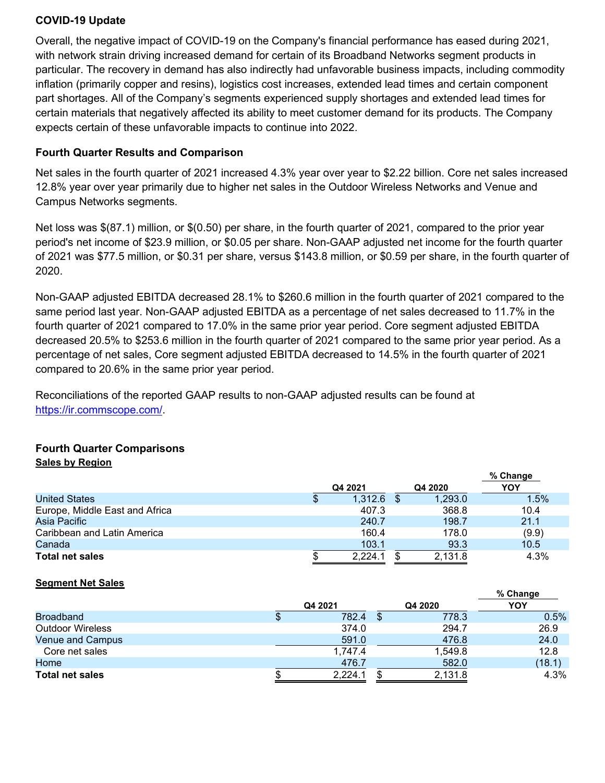#### **COVID-19 Update**

Overall, the negative impact of COVID-19 on the Company's financial performance has eased during 2021, with network strain driving increased demand for certain of its Broadband Networks segment products in particular. The recovery in demand has also indirectly had unfavorable business impacts, including commodity inflation (primarily copper and resins), logistics cost increases, extended lead times and certain component part shortages. All of the Company's segments experienced supply shortages and extended lead times for certain materials that negatively affected its ability to meet customer demand for its products. The Company expects certain of these unfavorable impacts to continue into 2022.

#### **Fourth Quarter Results and Comparison**

Net sales in the fourth quarter of 2021 increased 4.3% year over year to \$2.22 billion. Core net sales increased 12.8% year over year primarily due to higher net sales in the Outdoor Wireless Networks and Venue and Campus Networks segments.

Net loss was \$(87.1) million, or \$(0.50) per share, in the fourth quarter of 2021, compared to the prior year period's net income of \$23.9 million, or \$0.05 per share. Non-GAAP adjusted net income for the fourth quarter of 2021 was \$77.5 million, or \$0.31 per share, versus \$143.8 million, or \$0.59 per share, in the fourth quarter of 2020.

Non-GAAP adjusted EBITDA decreased 28.1% to \$260.6 million in the fourth quarter of 2021 compared to the same period last year. Non-GAAP adjusted EBITDA as a percentage of net sales decreased to 11.7% in the fourth quarter of 2021 compared to 17.0% in the same prior year period. Core segment adjusted EBITDA decreased 20.5% to \$253.6 million in the fourth quarter of 2021 compared to the same prior year period. As a percentage of net sales, Core segment adjusted EBITDA decreased to 14.5% in the fourth quarter of 2021 compared to 20.6% in the same prior year period.

Reconciliations of the reported GAAP results to non-GAAP adjusted results can be found at [https://ir.commscope.com/.](https://ir.commscope.com/)

#### **Fourth Quarter Comparisons Sales by Region**

|                                |         |         | % Change |
|--------------------------------|---------|---------|----------|
|                                | Q4 2021 | Q4 2020 | YOY      |
| <b>United States</b>           | 1,312.6 | 1,293.0 | 1.5%     |
| Europe, Middle East and Africa | 407.3   | 368.8   | 10.4     |
| Asia Pacific                   | 240.7   | 198.7   | 21.1     |
| Caribbean and Latin America    | 160.4   | 178.0   | (9.9)    |
| Canada                         | 103.1   | 93.3    | 10.5     |
| <b>Total net sales</b>         | 2.224.1 | 2,131.8 | 4.3%     |

#### **Segment Net Sales**

| Q4 2021 |         |  |         | % Change |        |
|---------|---------|--|---------|----------|--------|
|         |         |  | Q4 2020 | YOY      |        |
|         | 782.4   |  | 778.3   |          | 0.5%   |
|         | 374.0   |  | 294.7   |          | 26.9   |
|         | 591.0   |  | 476.8   |          | 24.0   |
|         | 1,747.4 |  | 1,549.8 |          | 12.8   |
|         | 476.7   |  | 582.0   |          | (18.1) |
|         | 2,224.1 |  | 2,131.8 |          | 4.3%   |
|         |         |  |         |          |        |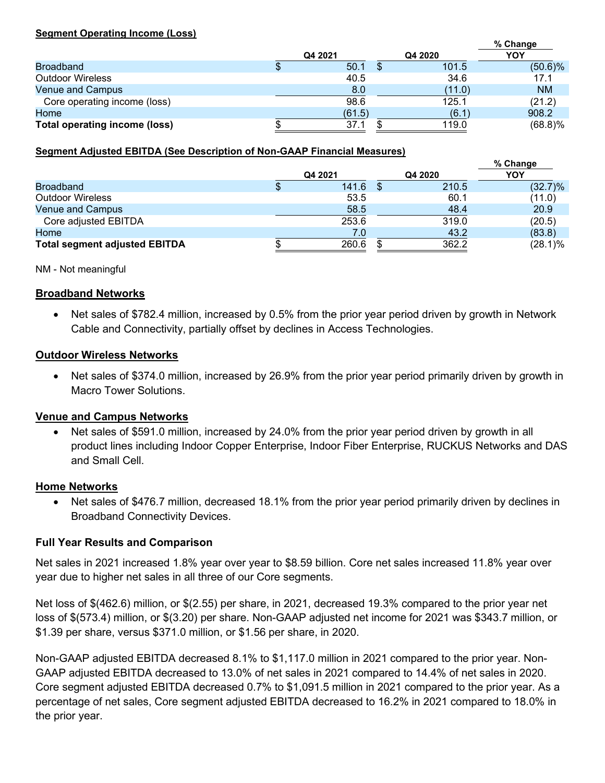#### **Segment Operating Income (Loss)**

|                               |         |         | % Change   |
|-------------------------------|---------|---------|------------|
|                               | Q4 2021 | Q4 2020 | YOY        |
| <b>Broadband</b>              | 50.1    | 101.5   | $(50.6)\%$ |
| <b>Outdoor Wireless</b>       | 40.5    | 34.6    | 17.1       |
| <b>Venue and Campus</b>       | 8.0     | (11.0)  | <b>NM</b>  |
| Core operating income (loss)  | 98.6    | 125.1   | (21.2)     |
| Home                          | (61.5)  | (6.1)   | 908.2      |
| Total operating income (loss) | 37.1    | 119.0   | $(68.8)\%$ |

#### **Segment Adjusted EBITDA (See Description of Non-GAAP Financial Measures)**

|                                      |  |         |  |         | % Change   |
|--------------------------------------|--|---------|--|---------|------------|
|                                      |  | Q4 2021 |  | Q4 2020 | YOY        |
| <b>Broadband</b>                     |  | 141.6   |  | 210.5   | (32.7)%    |
| <b>Outdoor Wireless</b>              |  | 53.5    |  | 60.1    | (11.0)     |
| <b>Venue and Campus</b>              |  | 58.5    |  | 48.4    | 20.9       |
| Core adjusted EBITDA                 |  | 253.6   |  | 319.0   | (20.5)     |
| Home                                 |  | 7.0     |  | 43.2    | (83.8)     |
| <b>Total segment adjusted EBITDA</b> |  | 260.6   |  | 362.2   | $(28.1)\%$ |

NM - Not meaningful

#### **Broadband Networks**

• Net sales of \$782.4 million, increased by 0.5% from the prior year period driven by growth in Network Cable and Connectivity, partially offset by declines in Access Technologies.

#### **Outdoor Wireless Networks**

• Net sales of \$374.0 million, increased by 26.9% from the prior year period primarily driven by growth in Macro Tower Solutions.

#### **Venue and Campus Networks**

Net sales of \$591.0 million, increased by 24.0% from the prior year period driven by growth in all product lines including Indoor Copper Enterprise, Indoor Fiber Enterprise, RUCKUS Networks and DAS and Small Cell.

#### **Home Networks**

• Net sales of \$476.7 million, decreased 18.1% from the prior year period primarily driven by declines in Broadband Connectivity Devices.

#### **Full Year Results and Comparison**

Net sales in 2021 increased 1.8% year over year to \$8.59 billion. Core net sales increased 11.8% year over year due to higher net sales in all three of our Core segments.

Net loss of \$(462.6) million, or \$(2.55) per share, in 2021, decreased 19.3% compared to the prior year net loss of \$(573.4) million, or \$(3.20) per share. Non-GAAP adjusted net income for 2021 was \$343.7 million, or \$1.39 per share, versus \$371.0 million, or \$1.56 per share, in 2020.

Non-GAAP adjusted EBITDA decreased 8.1% to \$1,117.0 million in 2021 compared to the prior year. Non-GAAP adjusted EBITDA decreased to 13.0% of net sales in 2021 compared to 14.4% of net sales in 2020. Core segment adjusted EBITDA decreased 0.7% to \$1,091.5 million in 2021 compared to the prior year. As a percentage of net sales, Core segment adjusted EBITDA decreased to 16.2% in 2021 compared to 18.0% in the prior year.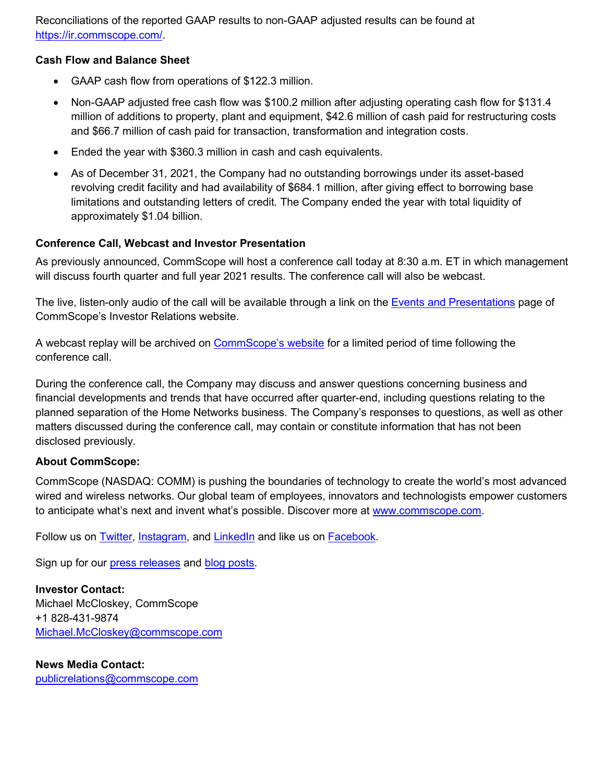Reconciliations of the reported GAAP results to non-GAAP adjusted results can be found at [https://ir.commscope.com/.](https://ir.commscope.com/)

#### **Cash Flow and Balance Sheet**

- GAAP cash flow from operations of \$122.3 million.
- Non-GAAP adjusted free cash flow was \$100.2 million after adjusting operating cash flow for \$131.4 million of additions to property, plant and equipment, \$42.6 million of cash paid for restructuring costs and \$66.7 million of cash paid for transaction, transformation and integration costs.
- Ended the year with \$360.3 million in cash and cash equivalents.
- As of December 31, 2021, the Company had no outstanding borrowings under its asset-based revolving credit facility and had availability of \$684.1 million, after giving effect to borrowing base limitations and outstanding letters of credit. The Company ended the year with total liquidity of approximately \$1.04 billion.

#### **Conference Call, Webcast and Investor Presentation**

As previously announced, CommScope will host a conference call today at 8:30 a.m. ET in which management will discuss fourth quarter and full year 2021 results. The conference call will also be webcast.

The live, listen-only audio of the call will be available through a link on the **Events and Presentations** page of CommScope's Investor Relations website.

A webcast replay will be archived on [CommScope's website](http://ir.commscope.com/) for a limited period of time following the conference call.

During the conference call, the Company may discuss and answer questions concerning business and financial developments and trends that have occurred after quarter-end, including questions relating to the planned separation of the Home Networks business. The Company's responses to questions, as well as other matters discussed during the conference call, may contain or constitute information that has not been disclosed previously.

#### **About CommScope:**

CommScope (NASDAQ: COMM) is pushing the boundaries of technology to create the world's most advanced wired and wireless networks. Our global team of employees, innovators and technologists empower customers to anticipate what's next and invent what's possible. Discover more at [www.commscope.com.](http://www.commscope.com/)

Follow us on [Twitter,](https://twitter.com/CommScope?utm_source=google&utm_medium=newscenter&utm_campaign=pressrelease) [Instagram,](https://www.instagram.com/commscope/) and [LinkedIn](https://www.linkedin.com/company/commscope?utm_source=google&utm_medium=newscenter&utm_campaign=pressrelease) and like us on [Facebook.](http://www.facebook.com/commscope?utm_source=google&utm_medium=newscenter&utm_campaign=pressrelease)

Sign up for our [press releases](https://www.commscope.com/subscribe-press-releases/?utm_medium=social&utm_source=press%20release&utm_campaign=global-oc-pr-subscription-link) and [blog posts.](https://www.commscope.com/subscribe-blog/?utm_medium=social&utm_source=press%20release&utm_campaign=global-oc-blog-subscription-link)

**Investor Contact:**  Michael McCloskey, CommScope +1 828-431-9874 [Michael.McCloskey@commscope.com](mailto:Michael.McCloskey@commscope.com)

**News Media Contact:** [publicrelations@commscope.com](mailto:publicrelations@commscope.com)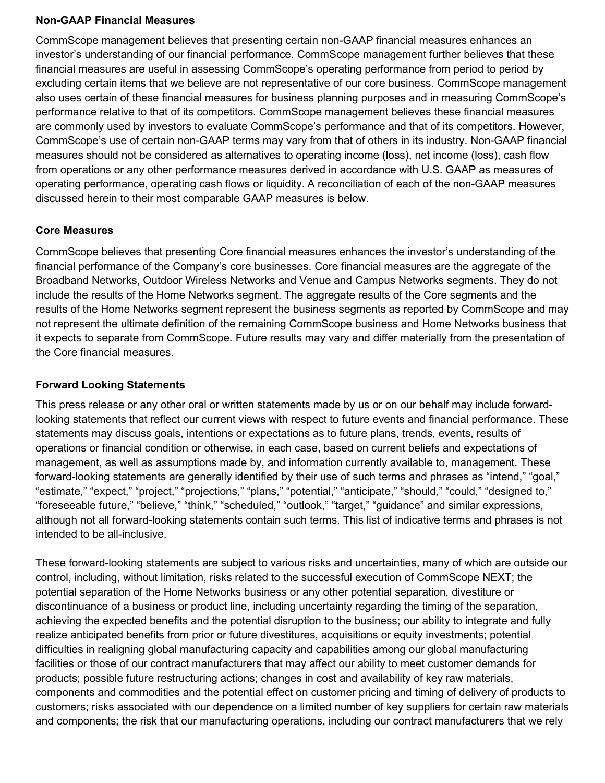#### **Non-GAAP Financial Measures**

CommScope management believes that presenting certain non-GAAP financial measures enhances an investor's understanding of our financial performance. CommScope management further believes that these financial measures are useful in assessing CommScope's operating performance from period to period by excluding certain items that we believe are not representative of our core business. CommScope management also uses certain of these financial measures for business planning purposes and in measuring CommScope's performance relative to that of its competitors. CommScope management believes these financial measures are commonly used by investors to evaluate CommScope's performance and that of its competitors. However, CommScope's use of certain non-GAAP terms may vary from that of others in its industry. Non-GAAP financial measures should not be considered as alternatives to operating income (loss), net income (loss), cash flow from operations or any other performance measures derived in accordance with U.S. GAAP as measures of operating performance, operating cash flows or liquidity. A reconciliation of each of the non-GAAP measures discussed herein to their most comparable GAAP measures is below.

#### **Core Measures**

CommScope believes that presenting Core financial measures enhances the investor's understanding of the financial performance of the Company's core businesses. Core financial measures are the aggregate of the Broadband Networks, Outdoor Wireless Networks and Venue and Campus Networks segments. They do not include the results of the Home Networks segment. The aggregate results of the Core segments and the results of the Home Networks segment represent the business segments as reported by CommScope and may not represent the ultimate definition of the remaining CommScope business and Home Networks business that it expects to separate from CommScope. Future results may vary and differ materially from the presentation of the Core financial measures.

#### **Forward Looking Statements**

This press release or any other oral or written statements made by us or on our behalf may include forwardlooking statements that reflect our current views with respect to future events and financial performance. These statements may discuss goals, intentions or expectations as to future plans, trends, events, results of operations or financial condition or otherwise, in each case, based on current beliefs and expectations of management, as well as assumptions made by, and information currently available to, management. These forward-looking statements are generally identified by their use of such terms and phrases as "intend," "goal," "estimate," "expect," "project," "projections," "plans," "potential," "anticipate," "should," "could," "designed to," "foreseeable future," "believe," "think," "scheduled," "outlook," "target," "guidance" and similar expressions, although not all forward-looking statements contain such terms. This list of indicative terms and phrases is not intended to be all-inclusive.

These forward-looking statements are subject to various risks and uncertainties, many of which are outside our control, including, without limitation, risks related to the successful execution of CommScope NEXT; the potential separation of the Home Networks business or any other potential separation, divestiture or discontinuance of a business or product line, including uncertainty regarding the timing of the separation, achieving the expected benefits and the potential disruption to the business; our ability to integrate and fully realize anticipated benefits from prior or future divestitures, acquisitions or equity investments; potential difficulties in realigning global manufacturing capacity and capabilities among our global manufacturing facilities or those of our contract manufacturers that may affect our ability to meet customer demands for products; possible future restructuring actions; changes in cost and availability of key raw materials, components and commodities and the potential effect on customer pricing and timing of delivery of products to customers; risks associated with our dependence on a limited number of key suppliers for certain raw materials and components; the risk that our manufacturing operations, including our contract manufacturers that we rely